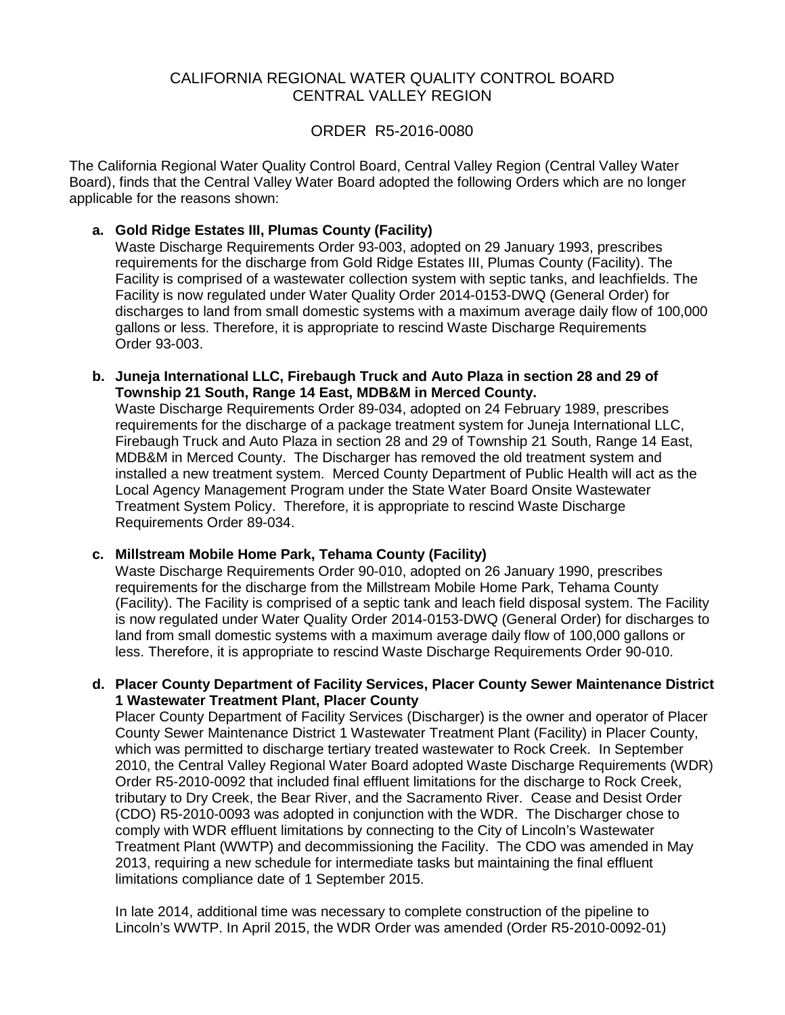# CALIFORNIA REGIONAL WATER QUALITY CONTROL BOARD CENTRAL VALLEY REGION

#### ORDER R5-2016-0080

 The California Regional Water Quality Control Board, Central Valley Region (Central Valley Water Board), finds that the Central Valley Water Board adopted the following Orders which are no longer applicable for the reasons shown:

# **a. Gold Ridge Estates III, Plumas County (Facility)**

 requirements for the discharge from Gold Ridge Estates III, Plumas County (Facility). The Facility is now regulated under Water Quality Order 2014-0153-DWQ (General Order) for Waste Discharge Requirements Order 93-003, adopted on 29 January 1993, prescribes Facility is comprised of a wastewater collection system with septic tanks, and leachfields. The discharges to land from small domestic systems with a maximum average daily flow of 100,000 gallons or less. Therefore, it is appropriate to rescind Waste Discharge Requirements Order 93-003.

**b. Juneja International LLC, Firebaugh Truck and Auto Plaza in section 28 and 29 of Township 21 South, Range 14 East, MDB&M in Merced County.** 

 requirements for the discharge of a package treatment system for Juneja International LLC, MDB&M in Merced County. The Discharger has removed the old treatment system and Local Agency Management Program under the State Water Board Onsite Wastewater Treatment System Policy. Therefore, it is appropriate to rescind Waste Discharge Waste Discharge Requirements Order 89-034, adopted on 24 February 1989, prescribes Firebaugh Truck and Auto Plaza in section 28 and 29 of Township 21 South, Range 14 East, installed a new treatment system. Merced County Department of Public Health will act as the Requirements Order 89-034.

#### **c. Millstream Mobile Home Park, Tehama County (Facility)**

 requirements for the discharge from the Millstream Mobile Home Park, Tehama County is now regulated under Water Quality Order 2014-0153-DWQ (General Order) for discharges to land from small domestic systems with a maximum average daily flow of 100,000 gallons or Waste Discharge Requirements Order 90-010, adopted on 26 January 1990, prescribes (Facility). The Facility is comprised of a septic tank and leach field disposal system. The Facility less. Therefore, it is appropriate to rescind Waste Discharge Requirements Order 90-010.

**d. Placer County Department of Facility Services, Placer County Sewer Maintenance District 1 Wastewater Treatment Plant, Placer County** 

 which was permitted to discharge tertiary treated wastewater to Rock Creek. In September 2010, the Central Valley Regional Water Board adopted Waste Discharge Requirements (WDR) Order R5-2010-0092 that included final effluent limitations for the discharge to Rock Creek, tributary to Dry Creek, the Bear River, and the Sacramento River. Cease and Desist Order (CDO) R5-2010-0093 was adopted in conjunction with the WDR. The Discharger chose to Treatment Plant (WWTP) and decommissioning the Facility. The CDO was amended in May Placer County Department of Facility Services (Discharger) is the owner and operator of Placer County Sewer Maintenance District 1 Wastewater Treatment Plant (Facility) in Placer County, comply with WDR effluent limitations by connecting to the City of Lincoln's Wastewater 2013, requiring a new schedule for intermediate tasks but maintaining the final effluent limitations compliance date of 1 September 2015.

 Lincoln's WWTP. In April 2015, the WDR Order was amended (Order R5-2010-0092-01) In late 2014, additional time was necessary to complete construction of the pipeline to